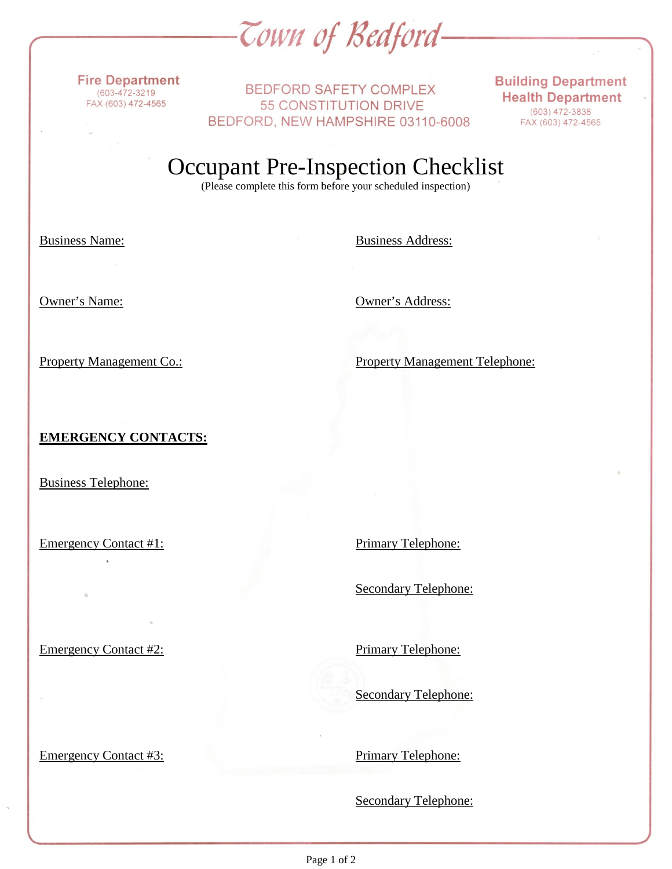*Cown of Bedford-*

**Fire Department**  $(603 - 472 - 3219$ FAX (603) 472-4565

**BEDFORD SAFETY COMPLEX** 55 CONSTITUTION DRIVE BEDFORD, NEW HAMPSHIRE 03110-6008 **Building Department Health Department**  $(603)$  472-3838 FAX (603) 472-4565

Occupant Pre-Inspection Checklist

(Please complete this form before your scheduled inspection)

Business Name: Business Address:

Owner's Name: Owner's Address:

Property Management Co.: Property Management Telephone:

## **EMERGENCY CONTACTS:**

Business Telephone:

Emergency Contact #1: Primary Telephone:

Secondary Telephone:

Emergency Contact #2: Primary Telephone:

Emergency Contact #3: Primary Telephone:

Secondary Telephone:

Secondary Telephone: